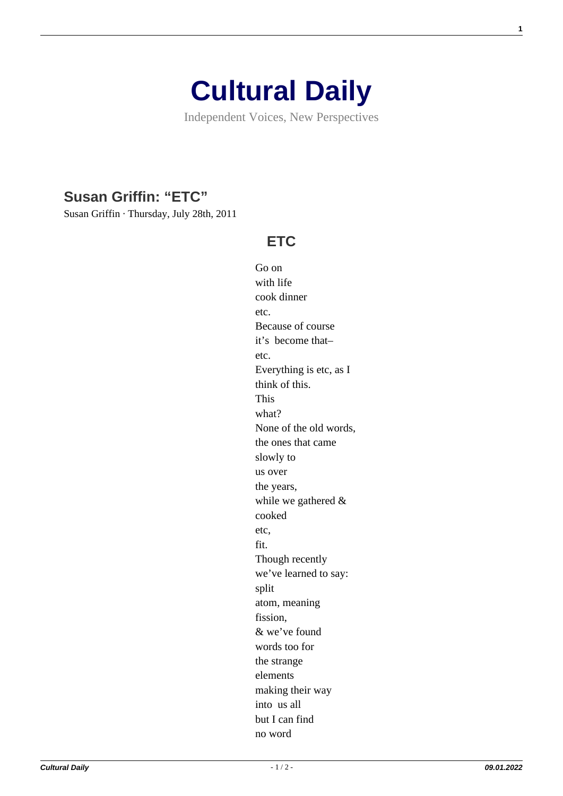## **[Cultural Daily](https://culturaldaily.com/)**

Independent Voices, New Perspectives

## **[Susan Griffin: "ETC"](https://culturaldaily.com/etc/)**

Susan Griffin · Thursday, July 28th, 2011

## **ETC**

Go on with life cook dinner etc. Because of course it's become that– etc. Everything is etc, as I think of this. This what? None of the old words, the ones that came slowly to us over the years, while we gathered & cooked etc, fit. Though recently we've learned to say: split atom, meaning fission, & we've found words too for the strange elements making their way into us all but I can find no word

**1**